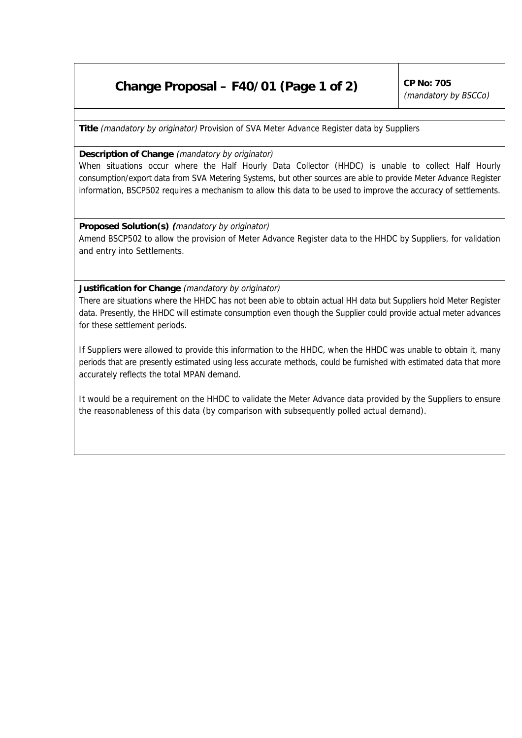## **Change Proposal – F40/01 (Page 1 of 2)**  $\int^{CP}$  No: 705

(mandatory by BSCCo)

**Title** (mandatory by originator) Provision of SVA Meter Advance Register data by Suppliers

## **Description of Change** (mandatory by originator)

When situations occur where the Half Hourly Data Collector (HHDC) is unable to collect Half Hourly consumption/export data from SVA Metering Systems, but other sources are able to provide Meter Advance Register information, BSCP502 requires a mechanism to allow this data to be used to improve the accuracy of settlements.

**Proposed Solution(s) (**mandatory by originator) Amend BSCP502 to allow the provision of Meter Advance Register data to the HHDC by Suppliers, for validation and entry into Settlements.

**Justification for Change** (mandatory by originator)

There are situations where the HHDC has not been able to obtain actual HH data but Suppliers hold Meter Register data. Presently, the HHDC will estimate consumption even though the Supplier could provide actual meter advances for these settlement periods.

If Suppliers were allowed to provide this information to the HHDC, when the HHDC was unable to obtain it, many periods that are presently estimated using less accurate methods, could be furnished with estimated data that more accurately reflects the total MPAN demand.

It would be a requirement on the HHDC to validate the Meter Advance data provided by the Suppliers to ensure the reasonableness of this data (by comparison with subsequently polled actual demand).